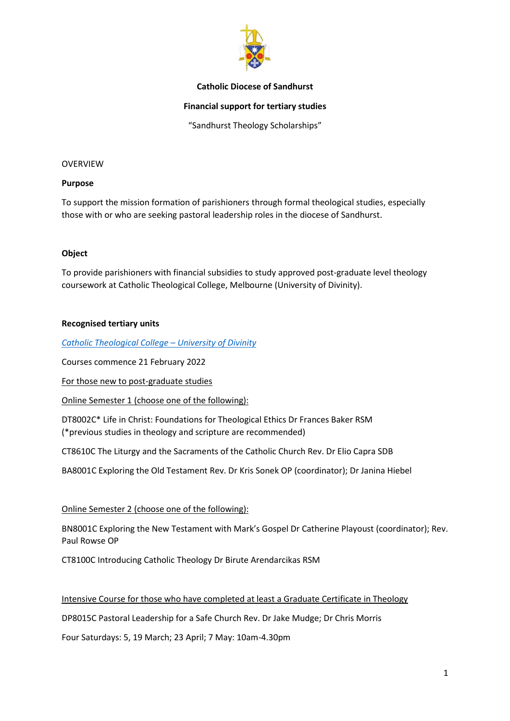

### **Catholic Diocese of Sandhurst**

## **Financial support for tertiary studies**

"Sandhurst Theology Scholarships"

#### OVERVIEW

#### **Purpose**

To support the mission formation of parishioners through formal theological studies, especially those with or who are seeking pastoral leadership roles in the diocese of Sandhurst.

### **Object**

To provide parishioners with financial subsidies to study approved post-graduate level theology coursework at Catholic Theological College, Melbourne (University of Divinity).

### **Recognised tertiary units**

*[Catholic Theological College](https://ctc.edu.au/units-of-study/) – University of Divinity*

Courses commence 21 February 2022

For those new to post-graduate studies

Online Semester 1 (choose one of the following):

DT8002C\* Life in Christ: Foundations for Theological Ethics Dr Frances Baker RSM (\*previous studies in theology and scripture are recommended)

CT8610C The Liturgy and the Sacraments of the Catholic Church Rev. Dr Elio Capra SDB

BA8001C Exploring the Old Testament Rev. Dr Kris Sonek OP (coordinator); Dr Janina Hiebel

### Online Semester 2 (choose one of the following):

BN8001C Exploring the New Testament with Mark's Gospel Dr Catherine Playoust (coordinator); Rev. Paul Rowse OP

CT8100C Introducing Catholic Theology Dr Birute Arendarcikas RSM

### Intensive Course for those who have completed at least a Graduate Certificate in Theology

DP8015C Pastoral Leadership for a Safe Church Rev. Dr Jake Mudge; Dr Chris Morris

Four Saturdays: 5, 19 March; 23 April; 7 May: 10am-4.30pm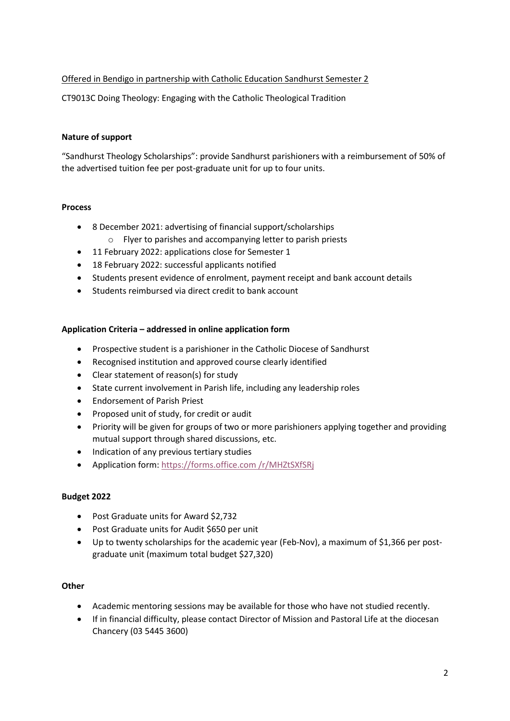# Offered in Bendigo in partnership with Catholic Education Sandhurst Semester 2

CT9013C Doing Theology: Engaging with the Catholic Theological Tradition

# **Nature of support**

"Sandhurst Theology Scholarships": provide Sandhurst parishioners with a reimbursement of 50% of the advertised tuition fee per post-graduate unit for up to four units.

## **Process**

- 8 December 2021: advertising of financial support/scholarships
	- o Flyer to parishes and accompanying letter to parish priests
- 11 February 2022: applications close for Semester 1
- 18 February 2022: successful applicants notified
- Students present evidence of enrolment, payment receipt and bank account details
- Students reimbursed via direct credit to bank account

# **Application Criteria – addressed in online application form**

- Prospective student is a parishioner in the Catholic Diocese of Sandhurst
- Recognised institution and approved course clearly identified
- Clear statement of reason(s) for study
- State current involvement in Parish life, including any leadership roles
- Endorsement of Parish Priest
- Proposed unit of study, for credit or audit
- Priority will be given for groups of two or more parishioners applying together and providing mutual support through shared discussions, etc.
- Indication of any previous tertiary studies
- Application form: [https://forms.office.com](https://forms.office.com/r/MHZtSXfSRj) /r/MHZtSXfSRj

# **Budget 2022**

- Post Graduate units for Award \$2,732
- Post Graduate units for Audit \$650 per unit
- Up to twenty scholarships for the academic year (Feb-Nov), a maximum of \$1,366 per postgraduate unit (maximum total budget \$27,320)

# **Other**

- Academic mentoring sessions may be available for those who have not studied recently.
- If in financial difficulty, please contact Director of Mission and Pastoral Life at the diocesan Chancery (03 5445 3600)